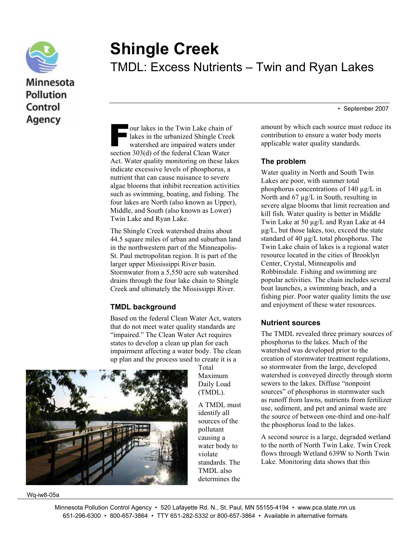

# **Shingle Creek**  TMDL: Excess Nutrients – Twin and Ryan Lakes

• September 2007

our lakes in the Twin Lake chain of lakes in the urbanized Shingle Creek watershed are impaired waters under our lakes in the Twin Lake chain of<br>lakes in the urbanized Shingle Cree<br>watershed are impaired waters unde<br>section 303(d) of the federal Clean Water Act. Water quality monitoring on these lakes indicate excessive levels of phosphorus, a nutrient that can cause nuisance to severe algae blooms that inhibit recreation activities such as swimming, boating, and fishing. The four lakes are North (also known as Upper), Middle, and South (also known as Lower) Twin Lake and Ryan Lake.

The Shingle Creek watershed drains about 44.5 square miles of urban and suburban land in the northwestern part of the Minneapolis-St. Paul metropolitan region. It is part of the larger upper Mississippi River basin. Stormwater from a 5,550 acre sub watershed drains through the four lake chain to Shingle Creek and ultimately the Mississippi River.

### **TMDL background**

Based on the federal Clean Water Act, waters that do not meet water quality standards are "impaired." The Clean Water Act requires states to develop a clean up plan for each impairment affecting a water body. The clean up plan and the process used to create it is a



Wq-iw8-05a

Total Maximum Daily Load (TMDL).

A TMDL must identify all sources of the pollutant causing a water body to violate standards. The TMDL also determines the

amount by which each source must reduce its contribution to ensure a water body meets applicable water quality standards.

### **The problem**

Water quality in North and South Twin Lakes are poor, with summer total phosphorus concentrations of 140 µg/L in North and 67 µg/L in South, resulting in severe algae blooms that limit recreation and kill fish. Water quality is better in Middle Twin Lake at 50 µg/L and Ryan Lake at 44 µg/L, but those lakes, too, exceed the state standard of 40 µg/L total phosphorus. The Twin Lake chain of lakes is a regional water resource located in the cities of Brooklyn Center, Crystal, Minneapolis and Robbinsdale. Fishing and swimming are popular activities. The chain includes several boat launches, a swimming beach, and a fishing pier. Poor water quality limits the use and enjoyment of these water resources.

### **Nutrient sources**

The TMDL revealed three primary sources of phosphorus to the lakes. Much of the watershed was developed prior to the creation of stormwater treatment regulations, so stormwater from the large, developed watershed is conveyed directly through storm sewers to the lakes. Diffuse "nonpoint sources" of phosphorus in stormwater such as runoff from lawns, nutrients from fertilizer use, sediment, and pet and animal waste are the source of between one-third and one-half the phosphorus load to the lakes.

A second source is a large, degraded wetland to the north of North Twin Lake. Twin Creek flows through Wetland 639W to North Twin Lake. Monitoring data shows that this